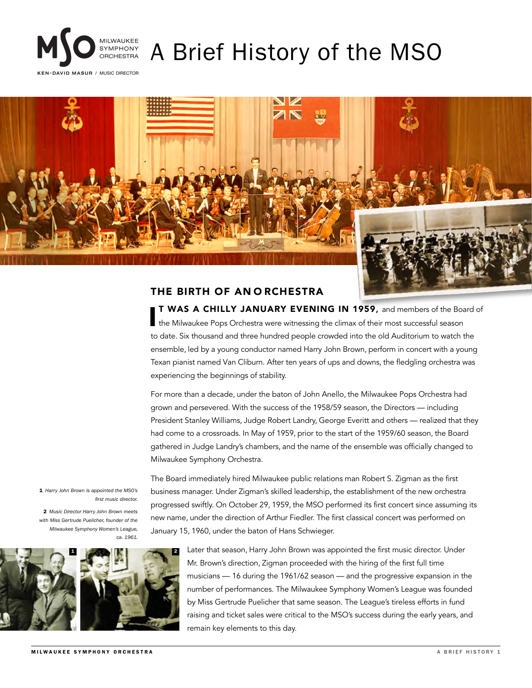

# A Brief History of the MSO

KEN-DAVID MASUR / MUSIC DIRECTOR



# THE BIRTH OF AN O RCHESTRA

**T WAS A CHILLY JANUARY EVENING IN 1959,** and members of the Boather Milwaukee Pops Orchestra were witnessing the climax of their most successful season T WAS A CHILLY JANUARY EVENING IN 1959, and members of the Board of to date. Six thousand and three hundred people crowded into the old Auditorium to watch the ensemble, led by a young conductor named Harry John Brown, perform in concert with a young Texan pianist named Van Cliburn. After ten years of ups and downs, the fledgling orchestra was experiencing the beginnings of stability.

For more than a decade, under the baton of John Anello, the Milwaukee Pops Orchestra had grown and persevered. With the success of the 1958/59 season, the Directors — including President Stanley Williams, Judge Robert Landry, George Everitt and others — realized that they had come to a crossroads. In May of 1959, prior to the start of the 1959/60 season, the Board gathered in Judge Landry's chambers, and the name of the ensemble was officially changed to Milwaukee Symphony Orchestra.

The Board immediately hired Milwaukee public relations man Robert S. Zigman as the first business manager. Under Zigman's skilled leadership, the establishment of the new orchestra progressed swiftly. On October 29, 1959, the MSO performed its first concert since assuming its new name, under the direction of Arthur Fiedler. The first classical concert was performed on January 15, 1960, under the baton of Hans Schwieger.

1 2

1 *Harry John Brown is appointed the MSO's* 

2 *Music Director Harry John Brown meets with Miss Gertrude Puelicher, founder of the Milwaukee Symphony Women's League,* 

*first music director.*

*ca. 1961.*

Later that season, Harry John Brown was appointed the first music director. Under Mr. Brown's direction, Zigman proceeded with the hiring of the first full time musicians — 16 during the 1961/62 season — and the progressive expansion in the number of performances. The Milwaukee Symphony Women's League was founded by Miss Gertrude Puelicher that same season. The League's tireless efforts in fund raising and ticket sales were critical to the MSO's success during the early years, and remain key elements to this day.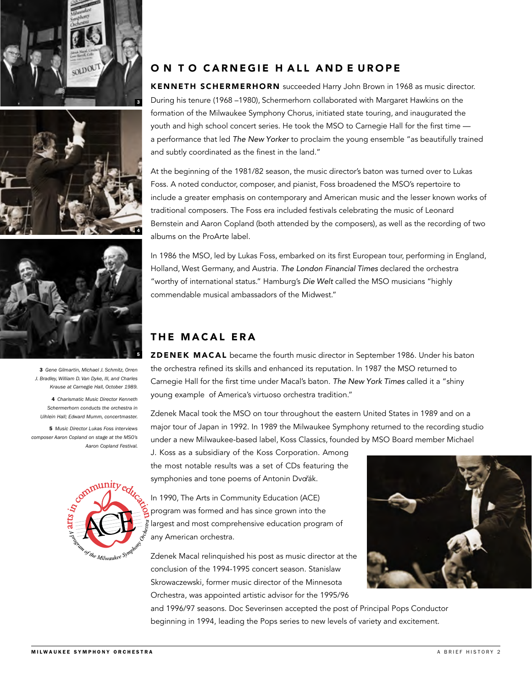





3 *Gene Gilmartin, Michael J. Schmitz, Orren J. Bradley, William D. Van Dyke, III, and Charles Krause at Carnegie Hall, October 1989.*

4 *Charismatic Music Director Kenneth Schermerhorn conducts the orchestra in Uihlein Hall; Edward Mumm, concertmaster.*

5 *Music Director Lukas Foss interviews composer Aaron Copland on stage at the MSO's Aaron Copland Festival.*



#### ON TO CARNEGIE HALL AND E UROPE

KENNETH SCHERMERHORN succeeded Harry John Brown in 1968 as music director. During his tenure (1968 –1980), Schermerhorn collaborated with Margaret Hawkins on the formation of the Milwaukee Symphony Chorus, initiated state touring, and inaugurated the youth and high school concert series. He took the MSO to Carnegie Hall for the first time a performance that led The New Yorker to proclaim the young ensemble "as beautifully trained and subtly coordinated as the finest in the land."

At the beginning of the 1981/82 season, the music director's baton was turned over to Lukas Foss. A noted conductor, composer, and pianist, Foss broadened the MSO's repertoire to include a greater emphasis on contemporary and American music and the lesser known works of traditional composers. The Foss era included festivals celebrating the music of Leonard Bernstein and Aaron Copland (both attended by the composers), as well as the recording of two albums on the ProArte label.

In 1986 the MSO, led by Lukas Foss, embarked on its first European tour, performing in England, Holland, West Germany, and Austria. The London Financial Times declared the orchestra "worthy of international status." Hamburg's Die Welt called the MSO musicians "highly commendable musical ambassadors of the Midwest."

# THE MACAL ERA

ZDENEK MACAL became the fourth music director in September 1986. Under his baton the orchestra refined its skills and enhanced its reputation. In 1987 the MSO returned to Carnegie Hall for the first time under Macal's baton. The New York Times called it a "shiny young example of America's virtuoso orchestra tradition."

Zdenek Macal took the MSO on tour throughout the eastern United States in 1989 and on a major tour of Japan in 1992. In 1989 the Milwaukee Symphony returned to the recording studio under a new Milwaukee-based label, Koss Classics, founded by MSO Board member Michael

J. Koss as a subsidiary of the Koss Corporation. Among the most notable results was a set of CDs featuring the symphonies and tone poems of Antonin Dvořák.

In 1990, The Arts in Community Education (ACE) program was formed and has since grown into the largest and most comprehensive education program of any American orchestra.

Zdenek Macal relinquished his post as music director at the conclusion of the 1994-1995 concert season. Stanislaw Skrowaczewski, former music director of the Minnesota Orchestra, was appointed artistic advisor for the 1995/96



and 1996/97 seasons. Doc Severinsen accepted the post of Principal Pops Conductor beginning in 1994, leading the Pops series to new levels of variety and excitement.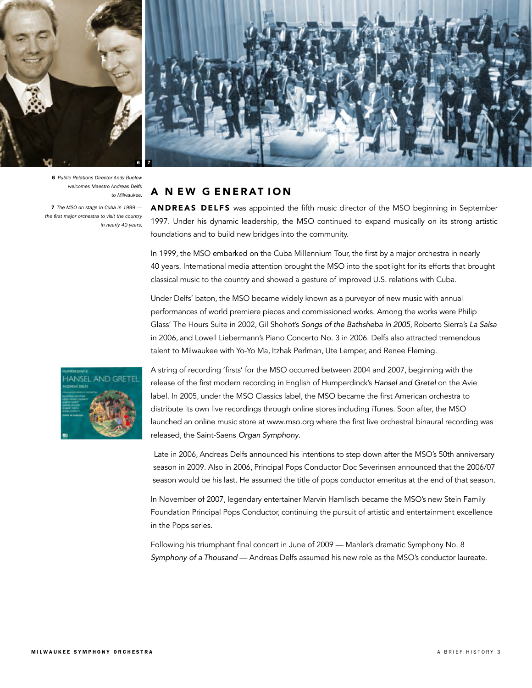

6 *Public Relations Director Andy Buelow welcomes Maestro Andreas Delfs to Milwaukee.*

7 *The MSO on stage in Cuba in 1999 the first major orchestra to visit the country in nearly 40 years.*



#### A NEW GENERATION

ANDREAS DELFS was appointed the fifth music director of the MSO beginning in September 1997. Under his dynamic leadership, the MSO continued to expand musically on its strong artistic foundations and to build new bridges into the community.

In 1999, the MSO embarked on the Cuba Millennium Tour, the first by a major orchestra in nearly 40 years. International media attention brought the MSO into the spotlight for its efforts that brought classical music to the country and showed a gesture of improved U.S. relations with Cuba.

Under Delfs' baton, the MSO became widely known as a purveyor of new music with annual performances of world premiere pieces and commissioned works. Among the works were Philip Glass' The Hours Suite in 2002, Gil Shohot's Songs of the Bathsheba in 2005, Roberto Sierra's La Salsa in 2006, and Lowell Liebermann's Piano Concerto No. 3 in 2006. Delfs also attracted tremendous talent to Milwaukee with Yo-Yo Ma, Itzhak Perlman, Ute Lemper, and Renee Fleming.



A string of recording 'firsts' for the MSO occurred between 2004 and 2007, beginning with the release of the first modern recording in English of Humperdinck's Hansel and Gretel on the Avie label. In 2005, under the MSO Classics label, the MSO became the first American orchestra to distribute its own live recordings through online stores including iTunes. Soon after, the MSO launched an online music store at www.mso.org where the first live orchestral binaural recording was released, the Saint-Saens Organ Symphony.

Late in 2006, Andreas Delfs announced his intentions to step down after the MSO's 50th anniversary season in 2009. Also in 2006, Principal Pops Conductor Doc Severinsen announced that the 2006/07 season would be his last. He assumed the title of pops conductor emeritus at the end of that season.

In November of 2007, legendary entertainer Marvin Hamlisch became the MSO's new Stein Family Foundation Principal Pops Conductor, continuing the pursuit of artistic and entertainment excellence in the Pops series.

Following his triumphant final concert in June of 2009 — Mahler's dramatic Symphony No. 8 Symphony of a Thousand — Andreas Delfs assumed his new role as the MSO's conductor laureate.